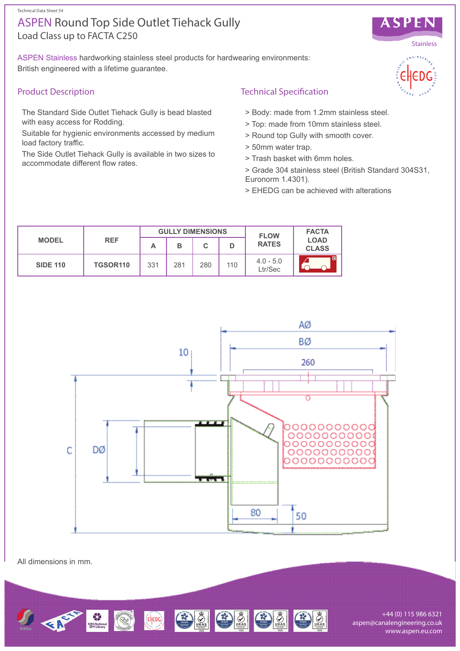Technical Data Sheet 54

# Load Class up to FACTA C250 ASPEN Round Top Side Outlet Tiehack Gully

ASPEN Stainless hardworking stainless steel products for hardwearing environments: British engineered with a lifetime guarantee.

# Product Description

The Standard Side Outlet Tiehack Gully is bead blasted with easy access for Rodding.

Suitable for hygienic environments accessed by medium load factory traffic.

The Side Outlet Tiehack Gully is available in two sizes to accommodate different flow rates.

# Technical Specification

- > Body: made from 1.2mm stainless steel.
- > Top: made from 10mm stainless steel.
- > Round top Gully with smooth cover.
- > 50mm water trap.
- > Trash basket with 6mm holes.
- > Grade 304 stainless steel (British Standard 304S31, Euronorm 1.4301).
- > EHEDG can be achieved with alterations

| <b>MODEL</b>    | <b>REF</b>           | <b>GULLY DIMENSIONS</b> |     |     |     | <b>FLOW</b>            | <b>FACTA</b>                |
|-----------------|----------------------|-------------------------|-----|-----|-----|------------------------|-----------------------------|
|                 |                      | А                       | в   |     |     | <b>RATES</b>           | <b>LOAD</b><br><b>CLASS</b> |
| <b>SIDE 110</b> | TGSOR <sub>110</sub> | 331                     | 281 | 280 | 110 | $4.0 - 5.0$<br>Ltr/Sec | ı C                         |



All dimensions in mm.



+44 (0) 115 986 6321 aspen@canalengineering.co.uk www.aspen.eu.com